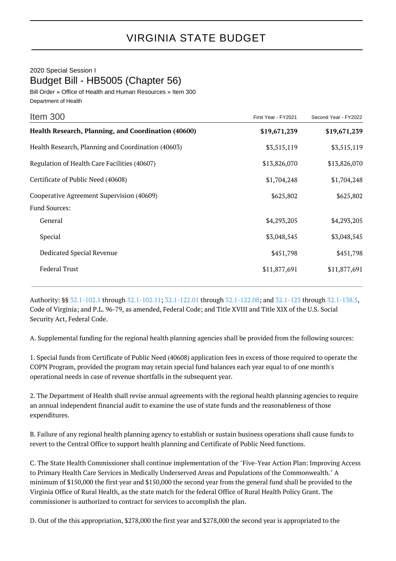## 2020 Special Session I Budget Bill - HB5005 (Chapter 56)

Bill Order » Office of Health and Human Resources » Item 300 Department of Health

| Item 300                                            | First Year - FY2021 | Second Year - FY2022 |
|-----------------------------------------------------|---------------------|----------------------|
| Health Research, Planning, and Coordination (40600) | \$19,671,239        | \$19,671,239         |
| Health Research, Planning and Coordination (40603)  | \$3,515,119         | \$3,515,119          |
| Regulation of Health Care Facilities (40607)        | \$13,826,070        | \$13,826,070         |
| Certificate of Public Need (40608)                  | \$1,704,248         | \$1,704,248          |
| Cooperative Agreement Supervision (40609)           | \$625,802           | \$625,802            |
| <b>Fund Sources:</b>                                |                     |                      |
| General                                             | \$4,293,205         | \$4,293,205          |
| Special                                             | \$3,048,545         | \$3,048,545          |
| Dedicated Special Revenue                           | \$451,798           | \$451,798            |
| <b>Federal Trust</b>                                | \$11,877,691        | \$11,877,691         |
|                                                     |                     |                      |

Authority: §§ [32.1-102.1](http://law.lis.virginia.gov/vacode/32.1-102.1/) through [32.1-102.11](http://law.lis.virginia.gov/vacode/32.1-102.11/); [32.1-122.01](http://law.lis.virginia.gov/vacode/32.1-122.01/) through [32.1-122.08;](http://law.lis.virginia.gov/vacode/32.1-122.08/) and [32.1-123](http://law.lis.virginia.gov/vacode/32.1-123/) through [32.1-138.5,](http://law.lis.virginia.gov/vacode/32.1-138.5/) Code of Virginia; and P.L. 96-79, as amended, Federal Code; and Title XVIII and Title XIX of the U.S. Social Security Act, Federal Code.

A. Supplemental funding for the regional health planning agencies shall be provided from the following sources:

1. Special funds from Certificate of Public Need (40608) application fees in excess of those required to operate the COPN Program, provided the program may retain special fund balances each year equal to of one month's operational needs in case of revenue shortfalls in the subsequent year.

2. The Department of Health shall revise annual agreements with the regional health planning agencies to require an annual independent financial audit to examine the use of state funds and the reasonableness of those expenditures.

B. Failure of any regional health planning agency to establish or sustain business operations shall cause funds to revert to the Central Office to support health planning and Certificate of Public Need functions.

C. The State Health Commissioner shall continue implementation of the "Five-Year Action Plan: Improving Access to Primary Health Care Services in Medically Underserved Areas and Populations of the Commonwealth." A minimum of \$150,000 the first year and \$150,000 the second year from the general fund shall be provided to the Virginia Office of Rural Health, as the state match for the federal Office of Rural Health Policy Grant. The commissioner is authorized to contract for services to accomplish the plan.

D. Out of the this appropriation, \$278,000 the first year and \$278,000 the second year is appropriated to the